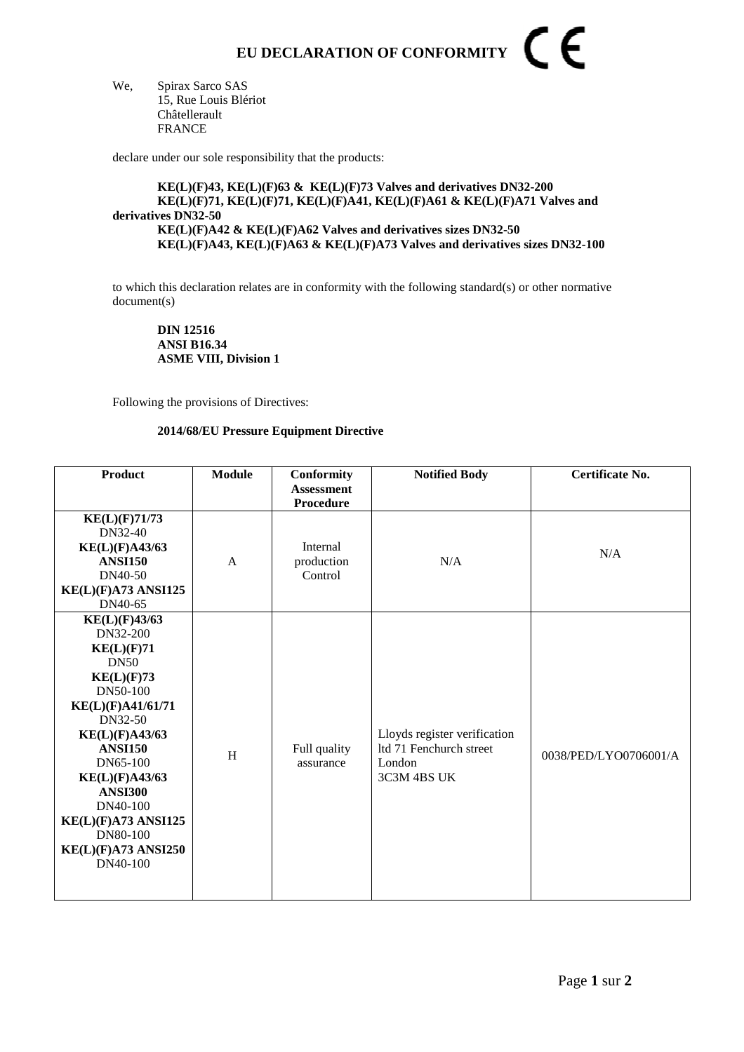## CE **EU DECLARATION OF CONFORMITY**

We, Spirax Sarco SAS 15, Rue Louis Blériot Châtellerault FRANCE

declare under our sole responsibility that the products:

## **KE(L)(F)43, KE(L)(F)63 & KE(L)(F)73 Valves and derivatives DN32-200 KE(L)(F)71, KE(L)(F)71, KE(L)(F)A41, KE(L)(F)A61 & KE(L)(F)A71 Valves and derivatives DN32-50 KE(L)(F)A42 & KE(L)(F)A62 Valves and derivatives sizes DN32-50 KE(L)(F)A43, KE(L)(F)A63 & KE(L)(F)A73 Valves and derivatives sizes DN32-100**

to which this declaration relates are in conformity with the following standard(s) or other normative document(s)

**DIN 12516 ANSI B16.34 ASME VIII, Division 1** 

Following the provisions of Directives:

## **2014/68/EU Pressure Equipment Directive**

| <b>Product</b>             | <b>Module</b>             | Conformity<br><b>Assessment</b> | <b>Notified Body</b>                                    | Certificate No.       |
|----------------------------|---------------------------|---------------------------------|---------------------------------------------------------|-----------------------|
|                            |                           | Procedure                       |                                                         |                       |
| KE(L)(F)71/73<br>DN32-40   |                           |                                 |                                                         |                       |
| <b>KE(L)(F)A43/63</b>      |                           | Internal                        |                                                         |                       |
| <b>ANSI150</b>             | A                         | production                      | N/A                                                     | N/A                   |
| DN40-50                    |                           | Control                         |                                                         |                       |
| KE(L)(F)A73 ANSI125        |                           |                                 |                                                         |                       |
| DN40-65                    |                           |                                 |                                                         |                       |
| KE(L)(F)43/63              |                           |                                 |                                                         |                       |
| DN32-200                   |                           |                                 |                                                         |                       |
| KE(L)(F)71                 |                           |                                 |                                                         |                       |
| <b>DN50</b>                |                           |                                 |                                                         |                       |
| KE(L)(F)73                 |                           |                                 |                                                         |                       |
| DN50-100                   |                           |                                 |                                                         |                       |
| KE(L)(F)A41/61/71          |                           |                                 |                                                         |                       |
| DN32-50                    |                           |                                 |                                                         |                       |
| <b>KE(L)(F)A43/63</b>      |                           |                                 | Lloyds register verification<br>ltd 71 Fenchurch street |                       |
| <b>ANSI150</b><br>DN65-100 | $\boldsymbol{\mathrm{H}}$ | Full quality<br>assurance       | London                                                  | 0038/PED/LYO0706001/A |
| KE(L)(F)A43/63             |                           |                                 | 3C3M 4BS UK                                             |                       |
| <b>ANSI300</b>             |                           |                                 |                                                         |                       |
| DN40-100                   |                           |                                 |                                                         |                       |
| KE(L)(F)A73 ANSI125        |                           |                                 |                                                         |                       |
| DN80-100                   |                           |                                 |                                                         |                       |
| KE(L)(F)A73 ANSI250        |                           |                                 |                                                         |                       |
| DN40-100                   |                           |                                 |                                                         |                       |
|                            |                           |                                 |                                                         |                       |
|                            |                           |                                 |                                                         |                       |